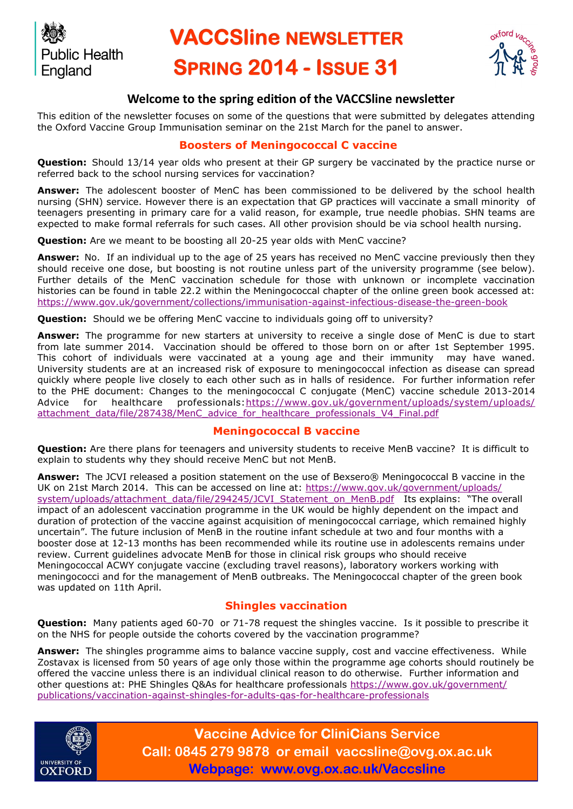

# **VACCSline NEWSI ETTER SPRING 2014 - ISSUE 31**



# **Welcome to the spring edition of the VACCSline newsletter**

This edition of the newsletter focuses on some of the questions that were submitted by delegates attending the Oxford Vaccine Group Immunisation seminar on the 21st March for the panel to answer.

#### **Boosters of Meningococcal C vaccine**

**Question:** Should 13/14 year olds who present at their GP surgery be vaccinated by the practice nurse or referred back to the school nursing services for vaccination?

**Answer:** The adolescent booster of MenC has been commissioned to be delivered by the school health nursing (SHN) service. However there is an expectation that GP practices will vaccinate a small minority of teenagers presenting in primary care for a valid reason, for example, true needle phobias. SHN teams are expected to make formal referrals for such cases. All other provision should be via school health nursing.

**Question:** Are we meant to be boosting all 20-25 year olds with MenC vaccine?

**Answer:** No. If an individual up to the age of 25 years has received no MenC vaccine previously then they should receive one dose, but boosting is not routine unless part of the university programme (see below). Further details of the MenC vaccination schedule for those with unknown or incomplete vaccination histories can be found in table 22.2 within the Meningococcal chapter of the online green book accessed at: <https://www.gov.uk/government/collections/immunisation-against-infectious-disease-the-green-book>

**Question:** Should we be offering MenC vaccine to individuals going off to university?

**Answer:** The programme for new starters at university to receive a single dose of MenC is due to start from late summer 2014. Vaccination should be offered to those born on or after 1st September 1995. This cohort of individuals were vaccinated at a young age and their immunity may have waned. University students are at an increased risk of exposure to meningococcal infection as disease can spread quickly where people live closely to each other such as in halls of residence. For further information refer to the PHE document: Changes to the meningococcal C conjugate (MenC) vaccine schedule 2013-2014 Advice for healthcare professionals:[https://www.gov.uk/government/uploads/system/uploads/](https://www.gov.uk/government/uploads/system/uploads/attachment_data/file/287438/MenC_advice_for_healthcare_professionals_V4_Final.pdf) [attachment\\_data/file/287438/MenC\\_advice\\_for\\_healthcare\\_professionals\\_V4\\_Final.pdf](https://www.gov.uk/government/uploads/system/uploads/attachment_data/file/287438/MenC_advice_for_healthcare_professionals_V4_Final.pdf)

#### **Meningococcal B vaccine**

**Question:** Are there plans for teenagers and university students to receive MenB vaccine? It is difficult to explain to students why they should receive MenC but not MenB.

**Answer:** The JCVI released a position statement on the use of Bexsero® Meningococcal B vaccine in the UK on 21st March 2014. This can be accessed on line at: [https://www.gov.uk/government/uploads/](https://www.gov.uk/government/uploads/system/uploads/attachment_data/file/294245/JCVI_Statement_on_MenB.pdf) [system/uploads/attachment\\_data/file/294245/JCVI\\_Statement\\_on\\_MenB.pdf](https://www.gov.uk/government/uploads/system/uploads/attachment_data/file/294245/JCVI_Statement_on_MenB.pdf) Its explains: "The overall impact of an adolescent vaccination programme in the UK would be highly dependent on the impact and duration of protection of the vaccine against acquisition of meningococcal carriage, which remained highly uncertain". The future inclusion of MenB in the routine infant schedule at two and four months with a booster dose at 12-13 months has been recommended while its routine use in adolescents remains under review. Current guidelines advocate MenB for those in clinical risk groups who should receive Meningococcal ACWY conjugate vaccine (excluding travel reasons), laboratory workers working with meningococci and for the management of MenB outbreaks. The Meningococcal chapter of the green book was updated on 11th April.

#### **Shingles vaccination**

**Question:** Many patients aged 60-70 or 71-78 request the shingles vaccine. Is it possible to prescribe it on the NHS for people outside the cohorts covered by the vaccination programme?

**Answer:** The shingles programme aims to balance vaccine supply, cost and vaccine effectiveness. While Zostavax is licensed from 50 years of age only those within the programme age cohorts should routinely be offered the vaccine unless there is an individual clinical reason to do otherwise. Further information and other questions at: PHE Shingles Q&As for healthcare professionals [https://www.gov.uk/government/](https://www.gov.uk/government/publications/vaccination-against-shingles-for-adults-qas-for-healthcare-professionals) [publications/vaccination-against-shingles-for-adults-qas-for-healthcare-professionals](https://www.gov.uk/government/publications/vaccination-against-shingles-for-adults-qas-for-healthcare-professionals)



**Vaccine Advice for CliniCians Service Call: 0845 279 9878 or email vaccsline@ovg.ox.ac.uk Webpage: www.ovg.ox.ac.uk/Vaccsline**